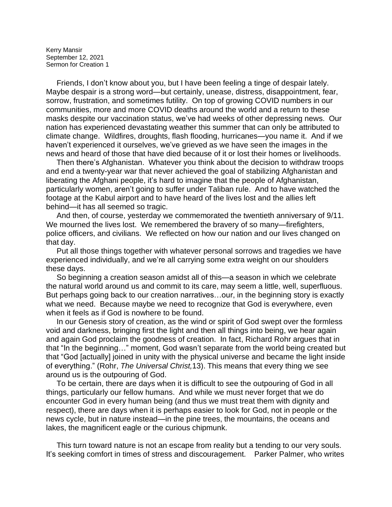Kerry Mansir September 12, 2021 Sermon for Creation 1

 Friends, I don't know about you, but I have been feeling a tinge of despair lately. Maybe despair is a strong word—but certainly, unease, distress, disappointment, fear, sorrow, frustration, and sometimes futility. On top of growing COVID numbers in our communities, more and more COVID deaths around the world and a return to these masks despite our vaccination status, we've had weeks of other depressing news. Our nation has experienced devastating weather this summer that can only be attributed to climate change. Wildfires, droughts, flash flooding, hurricanes—you name it. And if we haven't experienced it ourselves, we've grieved as we have seen the images in the news and heard of those that have died because of it or lost their homes or livelihoods.

 Then there's Afghanistan. Whatever you think about the decision to withdraw troops and end a twenty-year war that never achieved the goal of stabilizing Afghanistan and liberating the Afghani people, it's hard to imagine that the people of Afghanistan, particularly women, aren't going to suffer under Taliban rule. And to have watched the footage at the Kabul airport and to have heard of the lives lost and the allies left behind—it has all seemed so tragic.

 And then, of course, yesterday we commemorated the twentieth anniversary of 9/11. We mourned the lives lost. We remembered the bravery of so many—firefighters, police officers, and civilians. We reflected on how our nation and our lives changed on that day.

 Put all those things together with whatever personal sorrows and tragedies we have experienced individually, and we're all carrying some extra weight on our shoulders these days.

 So beginning a creation season amidst all of this—a season in which we celebrate the natural world around us and commit to its care, may seem a little, well, superfluous. But perhaps going back to our creation narratives…our, in the beginning story is exactly what we need. Because maybe we need to recognize that God is everywhere, even when it feels as if God is nowhere to be found.

 In our Genesis story of creation, as the wind or spirit of God swept over the formless void and darkness, bringing first the light and then all things into being, we hear again and again God proclaim the goodness of creation. In fact, Richard Rohr argues that in that "In the beginning…" moment, God wasn't separate from the world being created but that "God [actually] joined in unity with the physical universe and became the light inside of everything." (Rohr, *The Universal Christ,*13). This means that every thing we see around us is the outpouring of God.

 To be certain, there are days when it is difficult to see the outpouring of God in all things, particularly our fellow humans. And while we must never forget that we do encounter God in every human being (and thus we must treat them with dignity and respect), there are days when it is perhaps easier to look for God, not in people or the news cycle, but in nature instead—in the pine trees, the mountains, the oceans and lakes, the magnificent eagle or the curious chipmunk.

 This turn toward nature is not an escape from reality but a tending to our very souls. It's seeking comfort in times of stress and discouragement. Parker Palmer, who writes